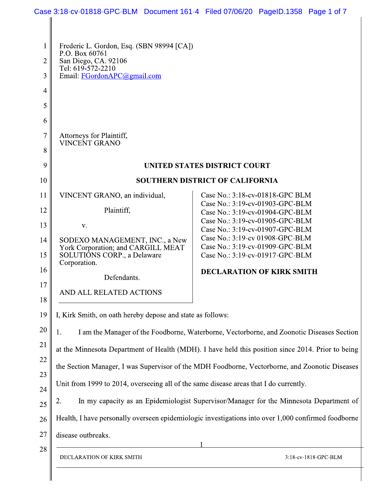| 1              | Frederic L. Gordon, Esq. (SBN 98994 [CA])<br>P.O. Box 60761                                                                                                                                                                                                                                                                                                                                     |                                                                                                       |  |
|----------------|-------------------------------------------------------------------------------------------------------------------------------------------------------------------------------------------------------------------------------------------------------------------------------------------------------------------------------------------------------------------------------------------------|-------------------------------------------------------------------------------------------------------|--|
| $\overline{2}$ | San Diego, CA. 92106<br>Tel: 619-572-2210                                                                                                                                                                                                                                                                                                                                                       |                                                                                                       |  |
| 3              | Email: FGordonAPC@gmail.com                                                                                                                                                                                                                                                                                                                                                                     |                                                                                                       |  |
| $\overline{4}$ |                                                                                                                                                                                                                                                                                                                                                                                                 |                                                                                                       |  |
| 5              |                                                                                                                                                                                                                                                                                                                                                                                                 |                                                                                                       |  |
| 6              |                                                                                                                                                                                                                                                                                                                                                                                                 |                                                                                                       |  |
| 7              | Attorneys for Plaintiff,<br><b>VINCENT GRANO</b>                                                                                                                                                                                                                                                                                                                                                |                                                                                                       |  |
| 8              |                                                                                                                                                                                                                                                                                                                                                                                                 |                                                                                                       |  |
| 9              | <b>UNITED STATES DISTRICT COURT</b>                                                                                                                                                                                                                                                                                                                                                             |                                                                                                       |  |
| 10             |                                                                                                                                                                                                                                                                                                                                                                                                 | <b>SOUTHERN DISTRICT OF CALIFORNIA</b>                                                                |  |
| 11             | VINCENT GRANO, an individual,                                                                                                                                                                                                                                                                                                                                                                   | Case No.: 3:18-cv-01818-GPC BLM<br>Case No.: 3:19-cv-01903-GPC-BLM                                    |  |
| 12             | Plaintiff,                                                                                                                                                                                                                                                                                                                                                                                      | Case No.: 3:19-cv-01904-GPC-BLM                                                                       |  |
| 13             | V.                                                                                                                                                                                                                                                                                                                                                                                              | Case No.: 3:19-cv-01905-GPC-BLM<br>Case No.: 3:19-cv-01907-GPC-BLM                                    |  |
| 14<br>15       | SODEXO MANAGEMENT, INC., a New<br>York Corporation; and CARGILL MEAT<br>SOLUTIÔNS CORP., a Delaware                                                                                                                                                                                                                                                                                             | Case No.: 3:19-cv 01908-GPC-BLM<br>Case No.: 3:19-cv-01909-GPC-BLM<br>Case No.: 3:19-cv-01917-GPC-BLM |  |
| 16             | Corporation.                                                                                                                                                                                                                                                                                                                                                                                    | <b>DECLARATION OF KIRK SMITH</b>                                                                      |  |
| 17             | Defendants.                                                                                                                                                                                                                                                                                                                                                                                     |                                                                                                       |  |
| 18             | AND ALL RELATED ACTIONS                                                                                                                                                                                                                                                                                                                                                                         |                                                                                                       |  |
| 19             | I, Kirk Smith, on oath hereby depose and state as follows:                                                                                                                                                                                                                                                                                                                                      |                                                                                                       |  |
| 20             | I am the Manager of the Foodborne, Waterborne, Vectorborne, and Zoonotic Diseases Section<br>1.<br>at the Minnesota Department of Health (MDH). I have held this position since 2014. Prior to being<br>the Section Manager, I was Supervisor of the MDH Foodborne, Vectorborne, and Zoonotic Diseases<br>Unit from 1999 to 2014, overseeing all of the same disease areas that I do currently. |                                                                                                       |  |
| 21             |                                                                                                                                                                                                                                                                                                                                                                                                 |                                                                                                       |  |
| 22             |                                                                                                                                                                                                                                                                                                                                                                                                 |                                                                                                       |  |
| 23             |                                                                                                                                                                                                                                                                                                                                                                                                 |                                                                                                       |  |
| 24             |                                                                                                                                                                                                                                                                                                                                                                                                 |                                                                                                       |  |
| 25             | 2.                                                                                                                                                                                                                                                                                                                                                                                              | In my capacity as an Epidemiologist Supervisor/Manager for the Minnesota Department of                |  |
| 26             |                                                                                                                                                                                                                                                                                                                                                                                                 | Health, I have personally overseen epidemiologic investigations into over 1,000 confirmed foodborne   |  |
| 27             | disease outbreaks.                                                                                                                                                                                                                                                                                                                                                                              |                                                                                                       |  |
| 28             | DECLARATION OF KIRK SMITH                                                                                                                                                                                                                                                                                                                                                                       | 3:18-cv-1818-GPC-BLM                                                                                  |  |

 $\mathbb{I}$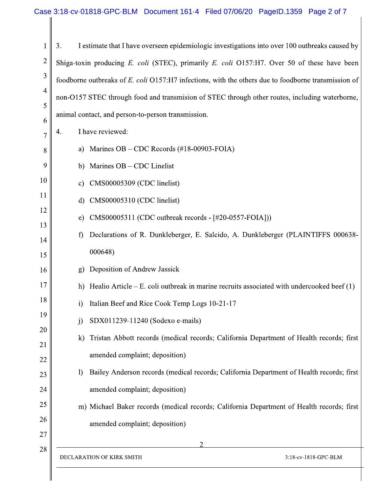3. I estimate that I have overseen epidemiologic investigations into over 100 outbreaks caused by  $\mathbf{1}$  $\overline{2}$ Shiga-toxin producing E. coli (STEC), primarily E. coli O157:H7. Over 50 of these have been 3 foodborne outbreaks of E. coli O157:H7 infections, with the others due to foodborne transmission of  $\overline{4}$ non-O157 STEC through food and transmision of STEC through other routes, including waterborne, 5 animal contact, and person-to-person transmission. 6 I have reviewed: 4.  $\overline{7}$ a) Marines  $OB - CDC$  Records (#18-00903-FOIA) 8 9 b) Marines  $OB - CDC$  Linelist 10 CMS00005309 (CDC linelist) c) 11 d)  $CMS00005310$  (CDC linelist) 12  $CMS00005311$  (CDC outbreak records -  $[\#20-0557-FOIA])$ ) e) 13 Declarations of R. Dunkleberger, E. Salcido, A. Dunkleberger (PLAINTIFFS 000638f) 14 000648) 15 Deposition of Andrew Jassick 16  $\mathbf{g}$ 17 h) Healio Article – E. coli outbreak in marine recruits associated with undercooked beef  $(1)$ 18 Italian Beef and Rice Cook Temp Logs 10-21-17  $\mathbf{i}$ 19 SDX011239-11240 (Sodexo e-mails)  $\mathbf{j}$ 20 Tristan Abbott records (medical records; California Department of Health records; first  $\bf k$ 21 amended complaint; deposition) 22 Bailey Anderson records (medical records; California Department of Health records; first  $\left| \right\rangle$ 23 amended complaint; deposition) 24 25 m) Michael Baker records (medical records; California Department of Health records; first 26 amended complaint; deposition) 27 28 DECLARATION OF KIRK SMITH 3:18-cv-1818-GPC-BLM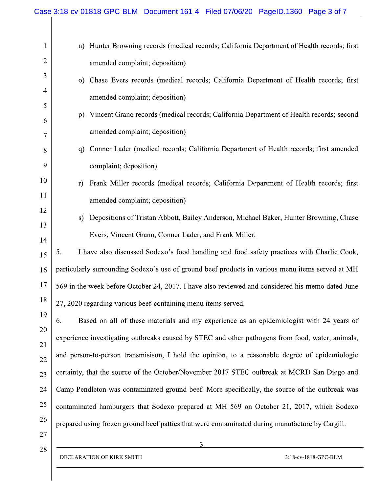|                | Case 3:18-cv-01818-GPC-BLM Document 161-4 Filed 07/06/20 PageID.1360 Page 3 of 7                  |  |
|----------------|---------------------------------------------------------------------------------------------------|--|
|                | Hunter Browning records (medical records; California Department of Health records; first<br>n)    |  |
| $\overline{c}$ | amended complaint; deposition)                                                                    |  |
| 3              | Chase Evers records (medical records; California Department of Health records; first<br>$\circ$ ) |  |
| 4              | amended complaint; deposition)                                                                    |  |
| 5              | Vincent Grano records (medical records; California Department of Health records; second<br>p)     |  |
| 6              | amended complaint; deposition)                                                                    |  |
| 8              | Conner Lader (medical records; California Department of Health records; first amended<br>q)       |  |
| 9              | complaint; deposition)                                                                            |  |
| 10             | Frank Miller records (medical records; California Department of Health records; first<br>r)       |  |
| <sup>11</sup>  | amended complaint; deposition)                                                                    |  |
| 12             | Depositions of Tristan Abbott, Bailey Anderson, Michael Baker, Hunter Browning, Chase<br>S)       |  |
| 13<br>14       | Evers, Vincent Grano, Conner Lader, and Frank Miller.                                             |  |
| 15             | I have also discussed Sodexo's food handling and food safety practices with Charlie Cook,         |  |
| 16             | particularly surrounding Sodexo's use of ground beef products in various menu items served at MH  |  |
| 17             | 569 in the week before October 24, 2017. I have also reviewed and considered his memo dated June  |  |
| 18             | 27, 2020 regarding various beef-containing menu items served.                                     |  |
| 19             | Based on all of these materials and my experience as an epidemiologist with 24 years of<br>6.     |  |
| 20             | experience investigating outbreaks caused by STEC and other pathogens from food, water, animals,  |  |
| 21<br>22       | and person-to-person transmisison, I hold the opinion, to a reasonable degree of epidemiologic    |  |
| 23             | certainty, that the source of the October/November 2017 STEC outbreak at MCRD San Diego and       |  |
| 24             | Camp Pendleton was contaminated ground beef. More specifically, the source of the outbreak was    |  |
| 25             | contaminated hamburgers that Sodexo prepared at MH 569 on October 21, 2017, which Sodexo          |  |
| 26             | prepared using frozen ground beef patties that were contaminated during manufacture by Cargill.   |  |
| 27             |                                                                                                   |  |
| 28             | DECLARATION OF KIRK SMITH<br>3:18-cv-1818-GPC-BLM                                                 |  |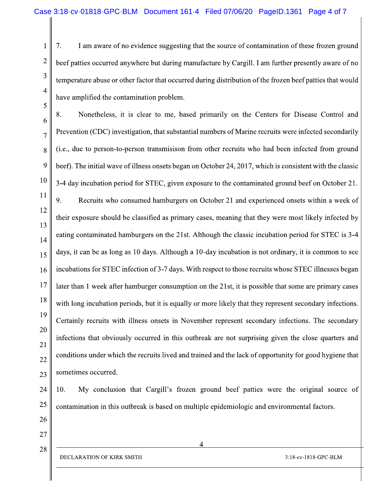7. I am aware of no evidence suggesting that the source of contamination of these frozen ground beef patties occurred anywhere but during manufacture by Cargill. I am further presently aware of no temperature abuse or other factor that occurred during distribution of the frozen beef patties that would have amplified the contamination problem.

Nonetheless, it is clear to me, based primarily on the Centers for Disease Control and 8. 6 Prevention (CDC) investigation, that substantial numbers of Marine recruits were infected secondarily (i.e., due to person-to-person transmisison from other recruits who had been infected from ground 8 9 beef). The initial wave of illness onsets began on October 24, 2017, which is consistent with the classic 10 3-4 day incubation period for STEC, given exposure to the contaminated ground beef on October 21. 9. Recruits who consumed hamburgers on October 21 and experienced onsets within a week of 12 their exposure should be classified as primary cases, meaning that they were most likely infected by eating contaminated hamburgers on the 21st. Although the classic incubation period for STEC is 3-4 days, it can be as long as 10 days. Although a 10-day incubation is not ordinary, it is common to see incubations for STEC infection of 3-7 days. With respect to those recruits whose STEC illnesses began 16 later than 1 week after hamburger consumption on the 21st, it is possible that some are primary cases 18 with long incubation periods, but it is equally or more likely that they represent secondary infections. 19 Certainly recruits with illness onsets in November represent secondary infections. The secondary 20 infections that obviously occurred in this outbreak are not surprising given the close quarters and conditions under which the recruits lived and trained and the lack of opportunity for good hygiene that sometimes occurred.

10. My conclusion that Cargill's frozen ground beef patties were the original source of contamination in this outbreak is based on multiple epidemiologic and environmental factors.

27 28

 $\mathbf{1}$ 

 $\overline{2}$ 

3

 $\overline{4}$ 

5

 $\overline{7}$ 

11

13

14

15

17

21

22

23

24

25

26

DECLARATION OF KIRK SMITH

4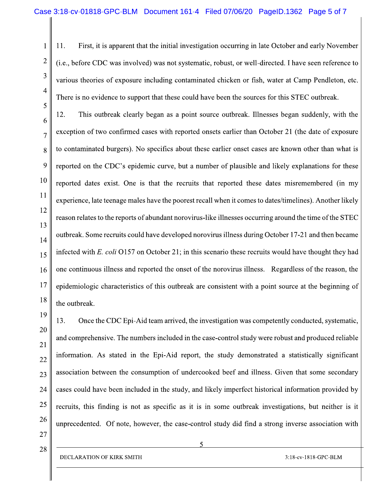11. First, it is apparent that the initial investigation occurring in late October and early November (i.e., before CDC was involved) was not systematic, robust, or well-directed. I have seen reference to various theories of exposure including contaminated chicken or fish, water at Camp Pendleton, etc. There is no evidence to support that these could have been the sources for this STEC outbreak.

This outbreak clearly began as a point source outbreak. Illnesses began suddenly, with the 12. exception of two confirmed cases with reported onsets earlier than October 21 (the date of exposure to contaminated burgers). No specifics about these earlier onset cases are known other than what is reported on the CDC's epidemic curve, but a number of plausible and likely explanations for these reported dates exist. One is that the recruits that reported these dates misremembered (in my experience, late teenage males have the poorest recall when it comes to dates/timelines). Another likely reason relates to the reports of abundant norovirus-like illnesses occurring around the time of the STEC outbreak. Some recruits could have developed norovirus illness during October 17-21 and then became infected with E. coli O157 on October 21; in this scenario these recruits would have thought they had one continuous illness and reported the onset of the norovirus illness. Regardless of the reason, the epidemiologic characteristics of this outbreak are consistent with a point source at the beginning of the outbreak.

19 13. Once the CDC Epi-Aid team arrived, the investigation was competently conducted, systematic, 20 and comprehensive. The numbers included in the case-control study were robust and produced reliable information. As stated in the Epi-Aid report, the study demonstrated a statistically significant association between the consumption of undercooked beef and illness. Given that some secondary cases could have been included in the study, and likely imperfect historical information provided by 24 recruits, this finding is not as specific as it is in some outbreak investigations, but neither is it 26 unprecedented. Of note, however, the case-control study did find a strong inverse association with

27 28

 $\mathbf{1}$ 

 $\overline{2}$ 

3

 $\overline{4}$ 

5

6

7

8

9

10

11

12

13

14

15

16

17

18

21

22

23

25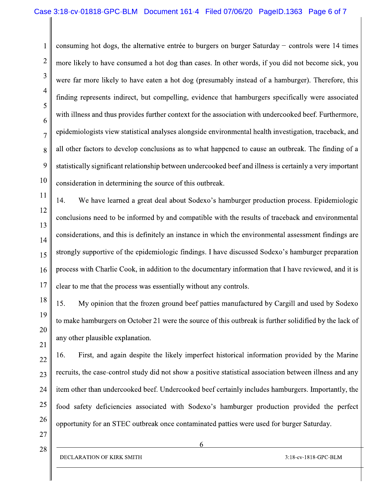consuming hot dogs, the alternative entrée to burgers on burger Saturday – controls were 14 times  $\overline{2}$ more likely to have consumed a hot dog than cases. In other words, if you did not become sick, you 3 were far more likely to have eaten a hot dog (presumably instead of a hamburger). Therefore, this finding represents indirect, but compelling, evidence that hamburgers specifically were associated 5 with illness and thus provides further context for the association with undercooked beef. Furthermore, epidemiologists view statistical analyses alongside environmental health investigation, traceback, and all other factors to develop conclusions as to what happened to cause an outbreak. The finding of a 8 9 statistically significant relationship between undercooked beef and illness is certainly a very important 10 consideration in determining the source of this outbreak.

14. We have learned a great deal about Sodexo's hamburger production process. Epidemiologic conclusions need to be informed by and compatible with the results of traceback and environmental considerations, and this is definitely an instance in which the environmental assessment findings are strongly supportive of the epidemiologic findings. I have discussed Sodexo's hamburger preparation process with Charlie Cook, in addition to the documentary information that I have reviewed, and it is clear to me that the process was essentially without any controls.

15. My opinion that the frozen ground beef patties manufactured by Cargill and used by Sodexo to make hamburgers on October 21 were the source of this outbreak is further solidified by the lack of any other plausible explanation.

16. First, and again despite the likely imperfect historical information provided by the Marine 22 recruits, the case-control study did not show a positive statistical association between illness and any 23 item other than undercooked beef. Undercooked beef certainly includes hamburgers. Importantly, the 24 25 food safety deficiencies associated with Sodexo's hamburger production provided the perfect 26 opportunity for an STEC outbreak once contaminated patties were used for burger Saturday.

27 28

 $\mathbf{1}$ 

 $\overline{4}$ 

6

 $\overline{7}$ 

11

12

13

14

15

16

17

18

19

20

21